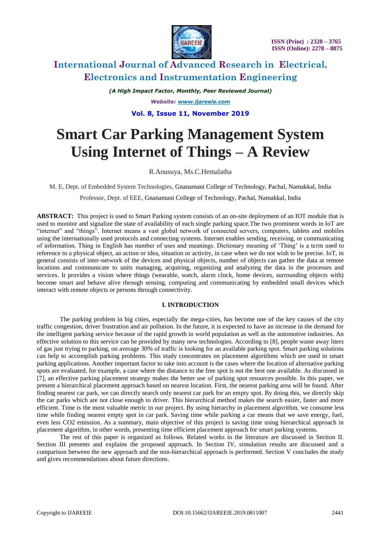

*(A High Impact Factor, Monthly, Peer Reviewed Journal) Website: [www.ijareeie.com](http://www.ijareeie.com/)* **Vol. 8, Issue 11, November 2019**

# **Smart Car Parking Management System Using Internet of Things – A Review**

R.Anusuya, Ms.C.Hemalatha

M. E, Dept. of Embedded System Technologies, Gnanamani College of Technology, Pachal, Namakkal, India

Professor, Dept. of EEE, Gnanamani College of Technology, Pachal, Namakkal, India

**ABSTRACT:** This project is used to Smart Parking system consists of an on-site deployment of an IOT module that is used to monitor and signalize the state of availability of each single parking space.The two prominent words in IoT are "internet" and "things". Internet means a vast global network of connected servers, computers, tablets and mobiles using the internationally used protocols and connecting systems. Internet enables sending, receiving, or communicating of information. Thing in English has number of uses and meanings. Dictionary meaning of 'Thing' is a term used to reference to a physical object, an action or idea, situation or activity, in case when we do not wish to be precise. IoT, in general consists of inter-network of the devices and physical objects, number of objects can gather the data at remote locations and communicate to units managing, acquiring, organizing and analyzing the data in the processes and services. It provides a vision where things (wearable, watch, alarm clock, home devices, surrounding objects with) become smart and behave alive through sensing, computing and communicating by embedded small devices which interact with remote objects or persons through connectivity.

### **I. INTRODUCTION**

The parking problem in big cities, especially the mega-cities, has become one of the key causes of the city traffic congestion, driver frustration and air pollution. In the future, it is expected to have an increase in the demand for the intelligent parking service because of the rapid growth in world population as well as the automotive industries. An effective solution to this service can be provided by many new technologies. According to [8], people waste away liters of gas just trying to parking, on average 30% of traffic is looking for an available parking spot. Smart parking solutions can help to accomplish parking problems. This study concentrates on placement algorithms which are used in smart parking applications. Another important factor to take into account is the cases where the location of alternative parking spots are evaluated, for example, a case where the distance to the free spot is not the best one available. As discussed in [7], an effective parking placement strategy makes the better use of parking spot resources possible. In this paper, we present a hierarchical placement approach based on nearest location. First, the nearest parking area will be found. After finding nearest car park, we can directly search only nearest car park for an empty spot. By doing this, we directly skip the car parks which are not close enough to driver. This hierarchical method makes the search easier, faster and more efficient. Time is the most valuable metric in our project. By using hierarchy in placement algorithm, we consume less time while finding nearest empty spot in car park. Saving time while parking a car means that we save energy, fuel, even less CO2 emission. As a summary, main objective of this project is saving time using hierarchical approach in placement algorithm, in other words, presenting time efficient placement approach for smart parking systems.

The rest of this paper is organized as follows. Related works in the literature are discussed in Section II. Section III presents and explains the proposed approach. In Section IV, simulation results are discussed and a comparison between the new approach and the non-hierarchical approach is performed. Section V concludes the study and gives recommendations about future directions.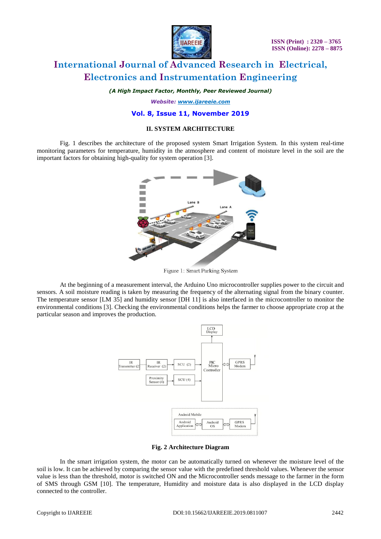

*(A High Impact Factor, Monthly, Peer Reviewed Journal)*

*Website: [www.ijareeie.com](http://www.ijareeie.com/)*

#### **Vol. 8, Issue 11, November 2019**

#### **II. SYSTEM ARCHITECTURE**

Fig. 1 describes the architecture of the proposed system Smart Irrigation System. In this system real-time monitoring parameters for temperature, humidity in the atmosphere and content of moisture level in the soil are the important factors for obtaining high-quality for system operation [3].



Figure 1: Smart Parking System

At the beginning of a measurement interval, the Arduino Uno microcontroller supplies power to the circuit and sensors. A soil moisture reading is taken by measuring the frequency of the alternating signal from the binary counter. The temperature sensor [LM 35] and humidity sensor [DH 11] is also interfaced in the microcontroller to monitor the environmental conditions [3]. Checking the environmental conditions helps the farmer to choose appropriate crop at the particular season and improves the production.



**Fig. 2 Architecture Diagram**

In the smart irrigation system, the motor can be automatically turned on whenever the moisture level of the soil is low. It can be achieved by comparing the sensor value with the predefined threshold values. Whenever the sensor value is less than the threshold, motor is switched ON and the Microcontroller sends message to the farmer in the form of SMS through GSM [10]. The temperature, Humidity and moisture data is also displayed in the LCD display connected to the controller.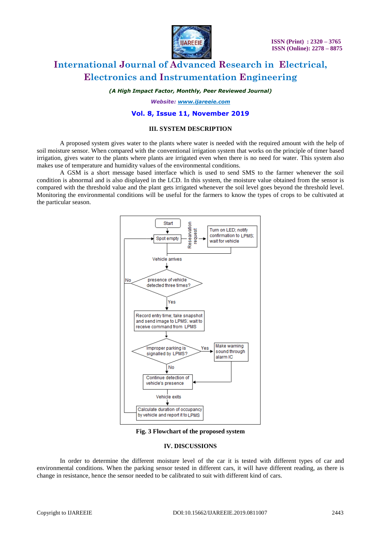

*(A High Impact Factor, Monthly, Peer Reviewed Journal)*

*Website: [www.ijareeie.com](http://www.ijareeie.com/)*

#### **Vol. 8, Issue 11, November 2019**

#### **III. SYSTEM DESCRIPTION**

A proposed system gives water to the plants where water is needed with the required amount with the help of soil moisture sensor. When compared with the conventional irrigation system that works on the principle of timer based irrigation, gives water to the plants where plants are irrigated even when there is no need for water. This system also makes use of temperature and humidity values of the environmental conditions.

A GSM is a short message based interface which is used to send SMS to the farmer whenever the soil condition is abnormal and is also displayed in the LCD. In this system, the moisture value obtained from the sensor is compared with the threshold value and the plant gets irrigated whenever the soil level goes beyond the threshold level. Monitoring the environmental conditions will be useful for the farmers to know the types of crops to be cultivated at the particular season.



**Fig. 3 Flowchart of the proposed system**

### **IV. DISCUSSIONS**

In order to determine the different moisture level of the car it is tested with different types of car and environmental conditions. When the parking sensor tested in different cars, it will have different reading, as there is change in resistance, hence the sensor needed to be calibrated to suit with different kind of cars.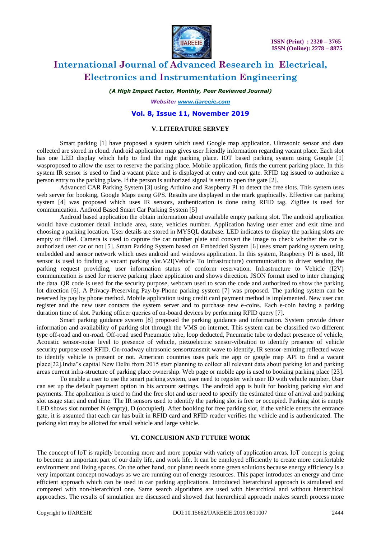

*(A High Impact Factor, Monthly, Peer Reviewed Journal)*

*Website: [www.ijareeie.com](http://www.ijareeie.com/)*

#### **Vol. 8, Issue 11, November 2019**

#### **V. LITERATURE SERVEY**

Smart parking [1] have proposed a system which used Google map application. Ultrasonic sensor and data collected are stored in cloud. Android application map gives user friendly information regarding vacant place. Each slot has one LED display which help to find the right parking place. IOT based parking system using Google [1] wasproposed to allow the user to reserve the parking place. Mobile application, finds the current parking place. In this system IR sensor is used to find a vacant place and is displayed at entry and exit gate. RFID tag issued to authorize a person entry to the parking place. If the person is authorized signal is sent to open the gate [2].

Advanced CAR Parking System [3] using Arduino and Raspberry PI to detect the free slots. This system uses web server for booking, Google Maps using GPS. Results are displayed in the mark graphically. Effective car parking system [4] was proposed which uses IR sensors, authentication is done using RFID tag. ZigBee is used for communication. Android Based Smart Car Parking System [5]

Android based application the obtain information about available empty parking slot. The android application would have customer detail include area, state, vehicles number. Application having user enter and exit time and choosing a parking location. User details are stored in MYSQL database. LED indicates to display the parking slots are empty or filled. Camera is used to capture the car number plate and convert the image to check whether the car is authorized user car or not [5]. Smart Parking System based on Embedded System [6] uses smart parking system using embedded and sensor network which uses android and windows application. In this system, Raspberry PI is used, IR sensor is used to finding a vacant parking slot.V2I(Vehicle To Infrastructure) communication to driver sending the parking request providing, user information status of conform reservation. Infrastructure to Vehicle (I2V) communication is used for reserve parking place application and shows direction. JSON format used to inter changing the data. QR code is used for the security purpose, webcam used to scan the code and authorized to show the parking lot direction [6]. A Privacy-Preserving Pay-by-Phone parking system [7] was proposed. The parking system can be reserved by pay by phone method. Mobile application using credit card payment method is implemented. New user can register and the new user contacts the system server and to purchase new e-coins. Each e-coin having a parking duration time of slot. Parking officer queries of on-board devices by performing RFID query [7].

Smart parking guidance system [8] proposed the parking guidance and information. System provide driver information and availability of parking slot through the VMS on internet. This system can be classified two different type off-road and on-road. Off-road used Pneumatic tube, loop deducted, Pneumatic tube to deduct presence of vehicle, Acoustic sensor-noise level to presence of vehicle, piezoelectric sensor-vibration to identify presence of vehicle security purpose used RFID. On-roadway ultrasonic sensortransmit wave to identify, IR sensor-emitting reflected wave to identify vehicle is present or not. American countries uses park me app or google map API to find a vacant place[22].India"s capital New Delhi from 2015 start planning to collect all relevant data about parking lot and parking areas current infra-structure of parking place ownership. Web page or mobile app is used to booking parking place [23].

To enable a user to use the smart parking system, user need to register with user ID with vehicle number. User can set up the default payment option in his account settings. The android app is built for booking parking slot and payments. The application is used to find the free slot and user need to specify the estimated time of arrival and parking slot usage start and end time. The IR sensors used to identify the parking slot is free or occupied. Parking slot is empty LED shows slot number N (empty), D (occupied). After booking for free parking slot, if the vehicle enters the entrance gate, it is assumed that each car has built in RFID card and RFID reader verifies the vehicle and is authenticated. The parking slot may be allotted for small vehicle and large vehicle.

### **VI. CONCLUSION AND FUTURE WORK**

The concept of IoT is rapidly becoming more and more popular with variety of application areas. IoT concept is going to become an important part of our daily life, and work life. It can be employed efficiently to create more comfortable environment and living spaces. On the other hand, our planet needs some green solutions because energy efficiency is a very important concept nowadays as we are running out of energy resources. This paper introduces an energy and time efficient approach which can be used in car parking applications. Introduced hierarchical approach is simulated and compared with non-hierarchical one. Same search algorithms are used with hierarchical and without hierarchical approaches. The results of simulation are discussed and showed that hierarchical approach makes search process more